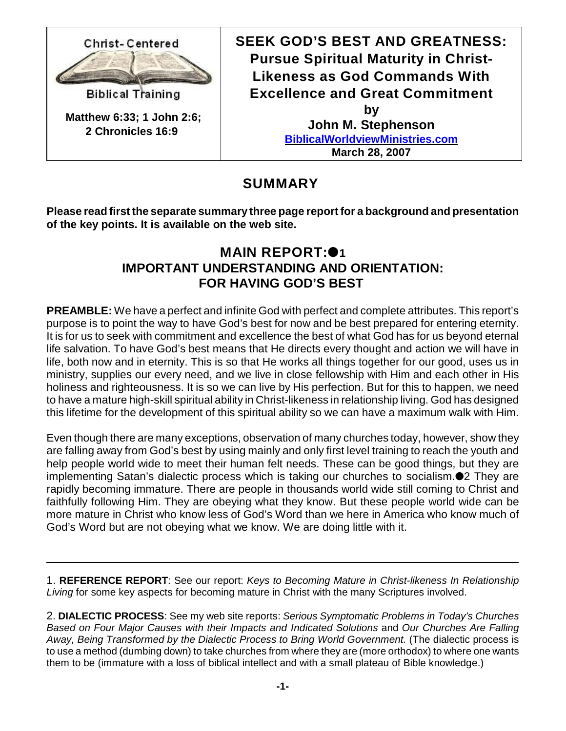

**SEEK GOD'S BEST AND GREATNESS: Pursue Spiritual Maturity in Christ-Likeness as God Commands With Excellence and Great Commitment by John M. Stephenson [BiblicalWorldviewMinistries.com](http://BiblicalWorldviewMinistries.com) March 28, 2007**

**SUMMARY** 

**Please read first the separate summary three page report for a background and presentation of the key points. It is available on the web site.**

# **MAIN REPORT:**<sup>01</sup> **IMPORTANT UNDERSTANDING AND ORIENTATION: FOR HAVING GOD'S BEST**

**PREAMBLE:** We have a perfect and infinite God with perfect and complete attributes. This report's purpose is to point the way to have God's best for now and be best prepared for entering eternity. It is for us to seek with commitment and excellence the best of what God has for us beyond eternal life salvation. To have God's best means that He directs every thought and action we will have in life, both now and in eternity. This is so that He works all things together for our good, uses us in ministry, supplies our every need, and we live in close fellowship with Him and each other in His holiness and righteousness. It is so we can live by His perfection. But for this to happen, we need to have a mature high-skill spiritual ability in Christ-likeness in relationship living. God has designed this lifetime for the development of this spiritual ability so we can have a maximum walk with Him.

Even though there are many exceptions, observation of many churches today, however, show they are falling away from God's best by using mainly and only first level training to reach the youth and help people world wide to meet their human felt needs. These can be good things, but they are implementing Satan's dialectic process which is taking our churches to socialism.2 They are rapidly becoming immature. There are people in thousands world wide still coming to Christ and faithfully following Him. They are obeying what they know. But these people world wide can be more mature in Christ who know less of God's Word than we here in America who know much of God's Word but are not obeying what we know. We are doing little with it.

1. **REFERENCE REPORT**: See our report: *Keys to Becoming Mature in Christ-likeness In Relationship Living* for some key aspects for becoming mature in Christ with the many Scriptures involved.

2. **DIALECTIC PROCESS**: See my web site reports: *Serious Symptomatic Problems in Today's Churches Based on Four Major Causes with their Impacts and Indicated Solutions* and *Our Churches Are Falling Away, Being Transformed by the Dialectic Process to Bring World Government.* (The dialectic process is to use a method (dumbing down) to take churches from where they are (more orthodox) to where one wants them to be (immature with a loss of biblical intellect and with a small plateau of Bible knowledge.)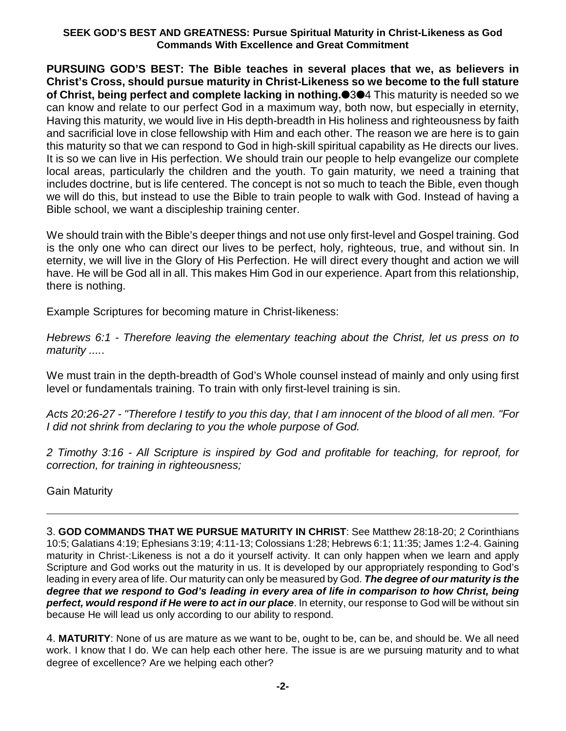**PURSUING GOD'S BEST: The Bible teaches in several places that we, as believers in Christ's Cross, should pursue maturity in Christ-Likeness so we become to the full stature of Christ, being perfect and complete lacking in nothing.**34 This maturity is needed so we can know and relate to our perfect God in a maximum way, both now, but especially in eternity, Having this maturity, we would live in His depth-breadth in His holiness and righteousness by faith and sacrificial love in close fellowship with Him and each other. The reason we are here is to gain this maturity so that we can respond to God in high-skill spiritual capability as He directs our lives. It is so we can live in His perfection. We should train our people to help evangelize our complete local areas, particularly the children and the youth. To gain maturity, we need a training that includes doctrine, but is life centered. The concept is not so much to teach the Bible, even though we will do this, but instead to use the Bible to train people to walk with God. Instead of having a Bible school, we want a discipleship training center.

We should train with the Bible's deeper things and not use only first-level and Gospel training. God is the only one who can direct our lives to be perfect, holy, righteous, true, and without sin. In eternity, we will live in the Glory of His Perfection. He will direct every thought and action we will have. He will be God all in all. This makes Him God in our experience. Apart from this relationship, there is nothing.

Example Scriptures for becoming mature in Christ-likeness:

*Hebrews 6:1 - Therefore leaving the elementary teaching about the Christ, let us press on to maturity ....*.

We must train in the depth-breadth of God's Whole counsel instead of mainly and only using first level or fundamentals training. To train with only first-level training is sin.

*Acts 20:26-27 - "Therefore I testify to you this day, that I am innocent of the blood of all men. "For I did not shrink from declaring to you the whole purpose of God.*

*2 Timothy 3:16 - All Scripture is inspired by God and profitable for teaching, for reproof, for correction, for training in righteousness;*

Gain Maturity

3. **GOD COMMANDS THAT WE PURSUE MATURITY IN CHRIST**: See Matthew 28:18-20; 2 Corinthians 10:5; Galatians 4:19; Ephesians 3:19; 4:11-13; Colossians 1:28; Hebrews 6:1; 11:35; James 1:2-4. Gaining maturity in Christ-:Likeness is not a do it yourself activity. It can only happen when we learn and apply Scripture and God works out the maturity in us. It is developed by our appropriately responding to God's leading in every area of life. Our maturity can only be measured by God. *The degree of our maturity is the degree that we respond to God's leading in every area of life in comparison to how Christ, being perfect, would respond if He were to act in our place*. In eternity, our response to God will be without sin because He will lead us only according to our ability to respond.

4. **MATURITY**: None of us are mature as we want to be, ought to be, can be, and should be. We all need work. I know that I do. We can help each other here. The issue is are we pursuing maturity and to what degree of excellence? Are we helping each other?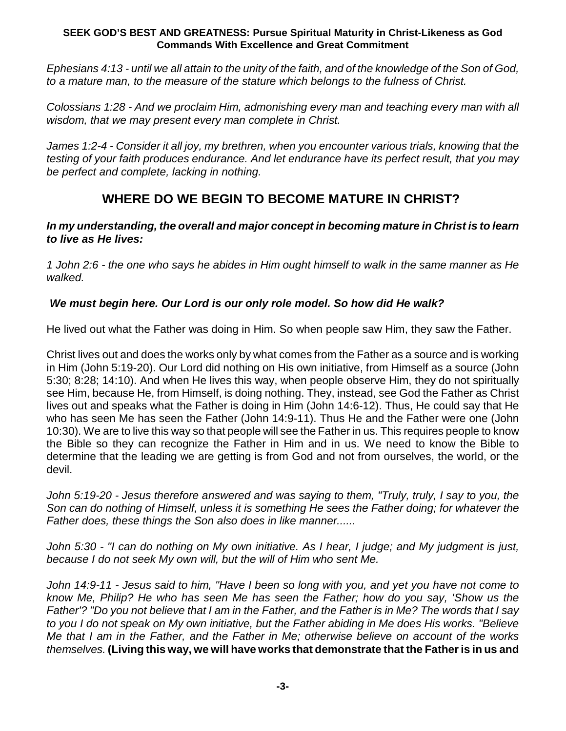*Ephesians 4:13 - until we all attain to the unity of the faith, and of the knowledge of the Son of God, to a mature man, to the measure of the stature which belongs to the fulness of Christ.*

*Colossians 1:28 - And we proclaim Him, admonishing every man and teaching every man with all wisdom, that we may present every man complete in Christ.*

*James 1:2-4 - Consider it all joy, my brethren, when you encounter various trials, knowing that the testing of your faith produces endurance. And let endurance have its perfect result, that you may be perfect and complete, lacking in nothing.*

# **WHERE DO WE BEGIN TO BECOME MATURE IN CHRIST?**

## *In my understanding, the overall and major concept in becoming mature in Christ is to learn to live as He lives:*

*1 John 2:6 - the one who says he abides in Him ought himself to walk in the same manner as He walked.*

## *We must begin here. Our Lord is our only role model. So how did He walk?*

He lived out what the Father was doing in Him. So when people saw Him, they saw the Father.

Christ lives out and does the works only by what comes from the Father as a source and is working in Him (John 5:19-20). Our Lord did nothing on His own initiative, from Himself as a source (John 5:30; 8:28; 14:10). And when He lives this way, when people observe Him, they do not spiritually see Him, because He, from Himself, is doing nothing. They, instead, see God the Father as Christ lives out and speaks what the Father is doing in Him (John 14:6-12). Thus, He could say that He who has seen Me has seen the Father (John 14:9-11). Thus He and the Father were one (John 10:30). We are to live this way so that people will see the Father in us. This requires people to know the Bible so they can recognize the Father in Him and in us. We need to know the Bible to determine that the leading we are getting is from God and not from ourselves, the world, or the devil.

*John 5:19-20 - Jesus therefore answered and was saying to them, "Truly, truly, I say to you, the Son can do nothing of Himself, unless it is something He sees the Father doing; for whatever the Father does, these things the Son also does in like manner......*

*John 5:30 - "I can do nothing on My own initiative. As I hear, I judge; and My judgment is just, because I do not seek My own will, but the will of Him who sent Me.*

*John 14:9-11 - Jesus said to him, "Have I been so long with you, and yet you have not come to know Me, Philip? He who has seen Me has seen the Father; how do you say, 'Show us the Father'? "Do you not believe that I am in the Father, and the Father is in Me? The words that I say to you I do not speak on My own initiative, but the Father abiding in Me does His works. "Believe Me that I am in the Father, and the Father in Me; otherwise believe on account of the works themselves.* **(Living this way, we will have works that demonstrate that the Father is in us and**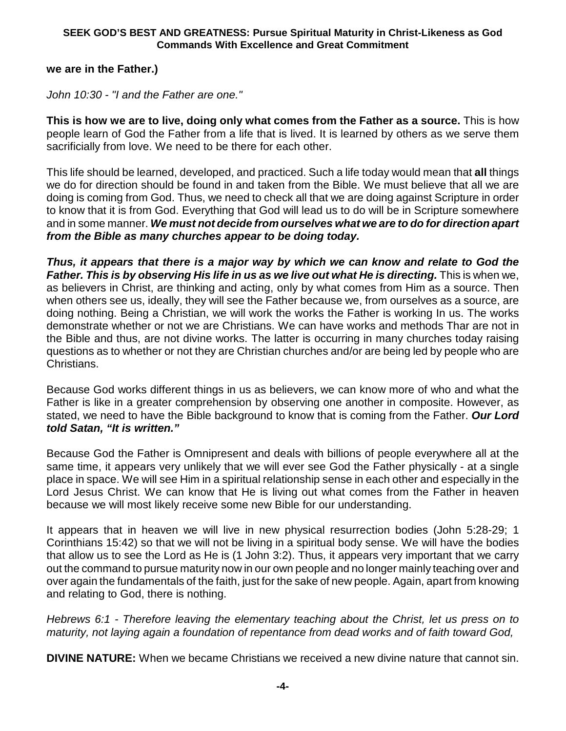## **we are in the Father.)**

*John 10:30 - "I and the Father are one."*

**This is how we are to live, doing only what comes from the Father as a source.** This is how people learn of God the Father from a life that is lived. It is learned by others as we serve them sacrificially from love. We need to be there for each other.

This life should be learned, developed, and practiced. Such a life today would mean that **all** things we do for direction should be found in and taken from the Bible. We must believe that all we are doing is coming from God. Thus, we need to check all that we are doing against Scripture in order to know that it is from God. Everything that God will lead us to do will be in Scripture somewhere and in some manner. *We must not decide from ourselves what we are to do for direction apart from the Bible as many churches appear to be doing today.*

*Thus, it appears that there is a major way by which we can know and relate to God the Father. This is by observing His life in us as we live out what He is directing.* This is when we, as believers in Christ, are thinking and acting, only by what comes from Him as a source. Then when others see us, ideally, they will see the Father because we, from ourselves as a source, are doing nothing. Being a Christian, we will work the works the Father is working In us. The works demonstrate whether or not we are Christians. We can have works and methods Thar are not in the Bible and thus, are not divine works. The latter is occurring in many churches today raising questions as to whether or not they are Christian churches and/or are being led by people who are Christians.

Because God works different things in us as believers, we can know more of who and what the Father is like in a greater comprehension by observing one another in composite. However, as stated, we need to have the Bible background to know that is coming from the Father. *Our Lord told Satan, "It is written."*

Because God the Father is Omnipresent and deals with billions of people everywhere all at the same time, it appears very unlikely that we will ever see God the Father physically - at a single place in space. We will see Him in a spiritual relationship sense in each other and especially in the Lord Jesus Christ. We can know that He is living out what comes from the Father in heaven because we will most likely receive some new Bible for our understanding.

It appears that in heaven we will live in new physical resurrection bodies (John 5:28-29; 1 Corinthians 15:42) so that we will not be living in a spiritual body sense. We will have the bodies that allow us to see the Lord as He is (1 John 3:2). Thus, it appears very important that we carry out the command to pursue maturity now in our own people and no longer mainly teaching over and over again the fundamentals of the faith, just for the sake of new people. Again, apart from knowing and relating to God, there is nothing.

*Hebrews 6:1 - Therefore leaving the elementary teaching about the Christ, let us press on to maturity, not laying again a foundation of repentance from dead works and of faith toward God,*

**DIVINE NATURE:** When we became Christians we received a new divine nature that cannot sin.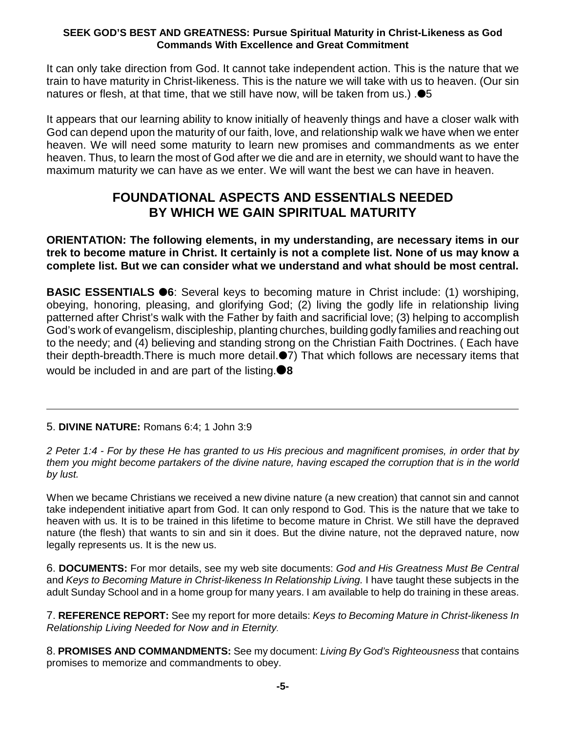It can only take direction from God. It cannot take independent action. This is the nature that we train to have maturity in Christ-likeness. This is the nature we will take with us to heaven. (Our sin natures or flesh, at that time, that we still have now, will be taken from us.)  $\bullet$ 5

It appears that our learning ability to know initially of heavenly things and have a closer walk with God can depend upon the maturity of our faith, love, and relationship walk we have when we enter heaven. We will need some maturity to learn new promises and commandments as we enter heaven. Thus, to learn the most of God after we die and are in eternity, we should want to have the maximum maturity we can have as we enter. We will want the best we can have in heaven.

## **FOUNDATIONAL ASPECTS AND ESSENTIALS NEEDED BY WHICH WE GAIN SPIRITUAL MATURITY**

**ORIENTATION: The following elements, in my understanding, are necessary items in our trek to become mature in Christ. It certainly is not a complete list. None of us may know a complete list. But we can consider what we understand and what should be most central.**

**BASIC ESSENTIALS 6**: Several keys to becoming mature in Christ include: (1) worshiping, obeying, honoring, pleasing, and glorifying God; (2) living the godly life in relationship living patterned after Christ's walk with the Father by faith and sacrificial love; (3) helping to accomplish God's work of evangelism, discipleship, planting churches, building godly families and reaching out to the needy; and (4) believing and standing strong on the Christian Faith Doctrines. ( Each have their depth-breadth. There is much more detail.<sup>17</sup>) That which follows are necessary items that would be included in and are part of the listing.**8**

## 5. **DIVINE NATURE:** Romans 6:4; 1 John 3:9

*2 Peter 1:4 - For by these He has granted to us His precious and magnificent promises, in order that by them you might become partakers of the divine nature, having escaped the corruption that is in the world by lust.*

When we became Christians we received a new divine nature (a new creation) that cannot sin and cannot take independent initiative apart from God. It can only respond to God. This is the nature that we take to heaven with us. It is to be trained in this lifetime to become mature in Christ. We still have the depraved nature (the flesh) that wants to sin and sin it does. But the divine nature, not the depraved nature, now legally represents us. It is the new us.

6. **DOCUMENTS:** For mor details, see my web site documents: *God and His Greatness Must Be Central* and *Keys to Becoming Mature in Christ-likeness In Relationship Living.* I have taught these subjects in the adult Sunday School and in a home group for many years. I am available to help do training in these areas.

7. **REFERENCE REPORT:** See my report for more details: *Keys to Becoming Mature in Christ-likeness In Relationship Living Needed for Now and in Eternity.*

8. **PROMISES AND COMMANDMENTS:** See my document: *Living By God's Righteousness* that contains promises to memorize and commandments to obey.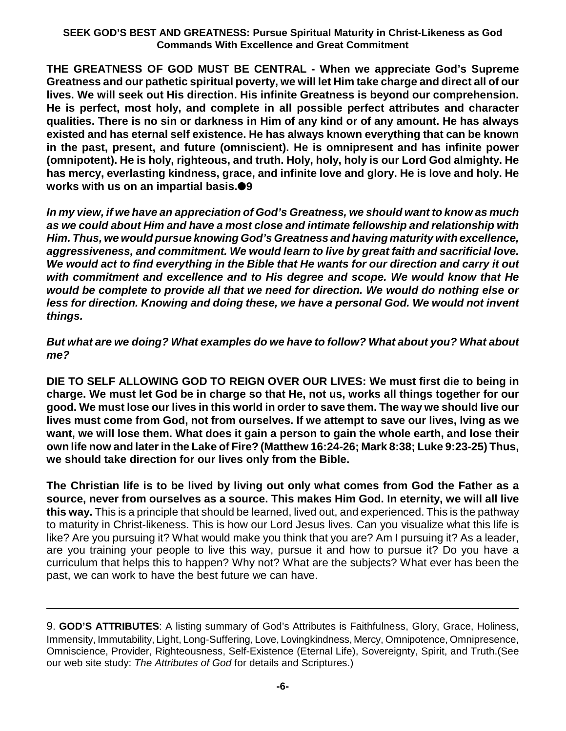**THE GREATNESS OF GOD MUST BE CENTRAL - When we appreciate God's Supreme Greatness and our pathetic spiritual poverty, we will let Him take charge and direct all of our lives. We will seek out His direction. His infinite Greatness is beyond our comprehension. He is perfect, most holy, and complete in all possible perfect attributes and character qualities. There is no sin or darkness in Him of any kind or of any amount. He has always existed and has eternal self existence. He has always known everything that can be known in the past, present, and future (omniscient). He is omnipresent and has infinite power (omnipotent). He is holy, righteous, and truth. Holy, holy, holy is our Lord God almighty. He has mercy, everlasting kindness, grace, and infinite love and glory. He is love and holy. He works with us on an impartial basis.9**

*In my view, if we have an appreciation of God's Greatness, we should want to know as much as we could about Him and have a most close and intimate fellowship and relationship with Him. Thus, we would pursue knowing God's Greatness and having maturity with excellence, aggressiveness, and commitment. We would learn to live by great faith and sacrificial love. We would act to find everything in the Bible that He wants for our direction and carry it out with commitment and excellence and to His degree and scope. We would know that He would be complete to provide all that we need for direction. We would do nothing else or less for direction. Knowing and doing these, we have a personal God. We would not invent things.*

*But what are we doing? What examples do we have to follow? What about you? What about me?*

**DIE TO SELF ALLOWING GOD TO REIGN OVER OUR LIVES: We must first die to being in charge. We must let God be in charge so that He, not us, works all things together for our good. We must lose our lives in this world in order to save them. The way we should live our lives must come from God, not from ourselves. If we attempt to save our lives, lving as we want, we will lose them. What does it gain a person to gain the whole earth, and lose their own life now and later in the Lake of Fire? (Matthew 16:24-26; Mark 8:38; Luke 9:23-25) Thus, we should take direction for our lives only from the Bible.** 

**The Christian life is to be lived by living out only what comes from God the Father as a source, never from ourselves as a source. This makes Him God. In eternity, we will all live this way.** This is a principle that should be learned, lived out, and experienced. This is the pathway to maturity in Christ-likeness. This is how our Lord Jesus lives. Can you visualize what this life is like? Are you pursuing it? What would make you think that you are? Am I pursuing it? As a leader, are you training your people to live this way, pursue it and how to pursue it? Do you have a curriculum that helps this to happen? Why not? What are the subjects? What ever has been the past, we can work to have the best future we can have.

9. **GOD'S ATTRIBUTES**: A listing summary of God's Attributes is Faithfulness, Glory, Grace, Holiness, Immensity, Immutability, Light, Long-Suffering, Love, Lovingkindness, Mercy, Omnipotence, Omnipresence, Omniscience, Provider, Righteousness, Self-Existence (Eternal Life), Sovereignty, Spirit, and Truth.(See our web site study: *The Attributes of God* for details and Scriptures.)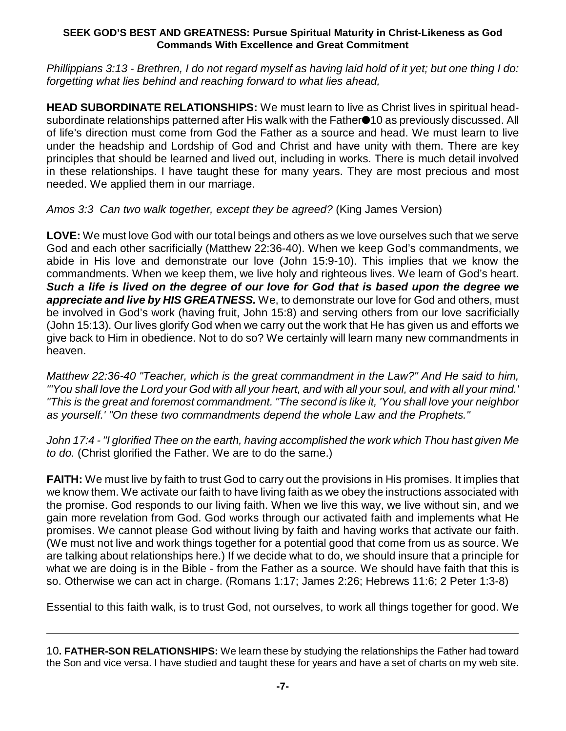*Phillippians 3:13 - Brethren, I do not regard myself as having laid hold of it yet; but one thing I do: forgetting what lies behind and reaching forward to what lies ahead,*

**HEAD SUBORDINATE RELATIONSHIPS:** We must learn to live as Christ lives in spiritual headsubordinate relationships patterned after His walk with the Father<sup>10</sup> as previously discussed. All of life's direction must come from God the Father as a source and head. We must learn to live under the headship and Lordship of God and Christ and have unity with them. There are key principles that should be learned and lived out, including in works. There is much detail involved in these relationships. I have taught these for many years. They are most precious and most needed. We applied them in our marriage.

*Amos 3:3 Can two walk together, except they be agreed?* (King James Version)

**LOVE:** We must love God with our total beings and others as we love ourselves such that we serve God and each other sacrificially (Matthew 22:36-40). When we keep God's commandments, we abide in His love and demonstrate our love (John 15:9-10). This implies that we know the commandments. When we keep them, we live holy and righteous lives. We learn of God's heart. *Such a life is lived on the degree of our love for God that is based upon the degree we appreciate and live by HIS GREATNESS.* We, to demonstrate our love for God and others, must be involved in God's work (having fruit, John 15:8) and serving others from our love sacrificially (John 15:13). Our lives glorify God when we carry out the work that He has given us and efforts we give back to Him in obedience. Not to do so? We certainly will learn many new commandments in heaven.

*Matthew 22:36-40 "Teacher, which is the great commandment in the Law?" And He said to him, "'You shall love the Lord your God with all your heart, and with all your soul, and with all your mind.' "This is the great and foremost commandment. "The second is like it, 'You shall love your neighbor as yourself.' "On these two commandments depend the whole Law and the Prophets."*

*John 17:4 - "I glorified Thee on the earth, having accomplished the work which Thou hast given Me to do.* (Christ glorified the Father. We are to do the same.)

**FAITH:** We must live by faith to trust God to carry out the provisions in His promises. It implies that we know them. We activate our faith to have living faith as we obey the instructions associated with the promise. God responds to our living faith. When we live this way, we live without sin, and we gain more revelation from God. God works through our activated faith and implements what He promises. We cannot please God without living by faith and having works that activate our faith. (We must not live and work things together for a potential good that come from us as source. We are talking about relationships here.) If we decide what to do, we should insure that a principle for what we are doing is in the Bible - from the Father as a source. We should have faith that this is so. Otherwise we can act in charge. (Romans 1:17; James 2:26; Hebrews 11:6; 2 Peter 1:3-8)

Essential to this faith walk, is to trust God, not ourselves, to work all things together for good. We

<sup>10</sup>**. FATHER-SON RELATIONSHIPS:** We learn these by studying the relationships the Father had toward the Son and vice versa. I have studied and taught these for years and have a set of charts on my web site.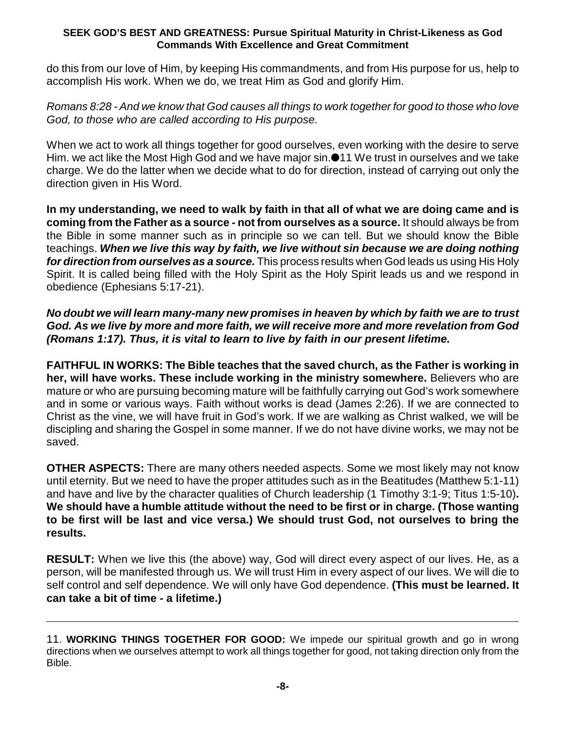do this from our love of Him, by keeping His commandments, and from His purpose for us, help to accomplish His work. When we do, we treat Him as God and glorify Him.

*Romans 8:28 - And we know that God causes all things to work together for good to those who love God, to those who are called according to His purpose.*

When we act to work all things together for good ourselves, even working with the desire to serve Him. we act like the Most High God and we have major sin.<sup>11</sup> We trust in ourselves and we take charge. We do the latter when we decide what to do for direction, instead of carrying out only the direction given in His Word.

**In my understanding, we need to walk by faith in that all of what we are doing came and is coming from the Father as a source - not from ourselves as a source.** It should always be from the Bible in some manner such as in principle so we can tell. But we should know the Bible teachings. *When we live this way by faith, we live without sin because we are doing nothing for direction from ourselves as a source.* This process results when God leads us using His Holy Spirit. It is called being filled with the Holy Spirit as the Holy Spirit leads us and we respond in obedience (Ephesians 5:17-21).

## *No doubt we will learn many-many new promises in heaven by which by faith we are to trust God. As we live by more and more faith, we will receive more and more revelation from God (Romans 1:17). Thus, it is vital to learn to live by faith in our present lifetime.*

**FAITHFUL IN WORKS: The Bible teaches that the saved church, as the Father is working in her, will have works. These include working in the ministry somewhere.** Believers who are mature or who are pursuing becoming mature will be faithfully carrying out God's work somewhere and in some or various ways. Faith without works is dead (James 2:26). If we are connected to Christ as the vine, we will have fruit in God's work. If we are walking as Christ walked, we will be discipling and sharing the Gospel in some manner. If we do not have divine works, we may not be saved.

**OTHER ASPECTS:** There are many others needed aspects. Some we most likely may not know until eternity. But we need to have the proper attitudes such as in the Beatitudes (Matthew 5:1-11) and have and live by the character qualities of Church leadership (1 Timothy 3:1-9; Titus 1:5-10)**. We should have a humble attitude without the need to be first or in charge. (Those wanting to be first will be last and vice versa.) We should trust God, not ourselves to bring the results.** 

**RESULT:** When we live this (the above) way, God will direct every aspect of our lives. He, as a person, will be manifested through us. We will trust Him in every aspect of our lives. We will die to self control and self dependence. We will only have God dependence. **(This must be learned. It can take a bit of time - a lifetime.)**

<sup>11</sup>. **WORKING THINGS TOGETHER FOR GOOD:** We impede our spiritual growth and go in wrong directions when we ourselves attempt to work all things together for good, not taking direction only from the Bible.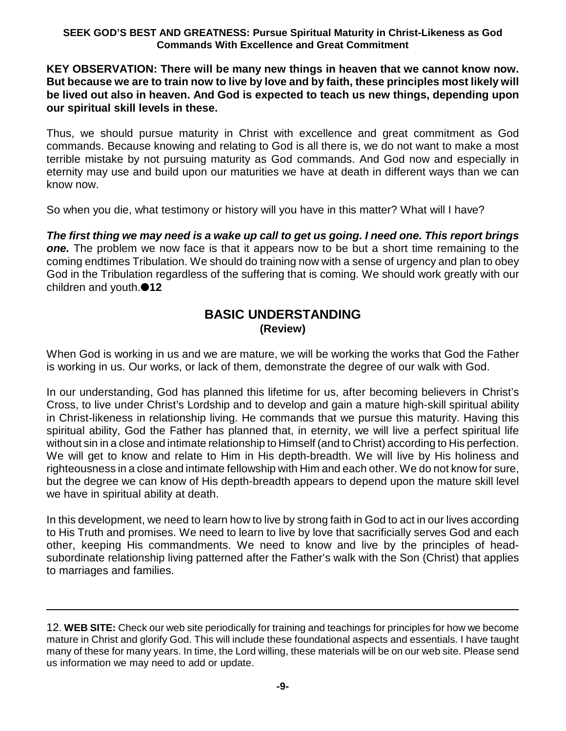## **KEY OBSERVATION: There will be many new things in heaven that we cannot know now. But because we are to train now to live by love and by faith, these principles most likely will be lived out also in heaven. And God is expected to teach us new things, depending upon our spiritual skill levels in these.**

Thus, we should pursue maturity in Christ with excellence and great commitment as God commands. Because knowing and relating to God is all there is, we do not want to make a most terrible mistake by not pursuing maturity as God commands. And God now and especially in eternity may use and build upon our maturities we have at death in different ways than we can know now.

So when you die, what testimony or history will you have in this matter? What will I have?

*The first thing we may need is a wake up call to get us going. I need one. This report brings one.* The problem we now face is that it appears now to be but a short time remaining to the coming endtimes Tribulation. We should do training now with a sense of urgency and plan to obey God in the Tribulation regardless of the suffering that is coming. We should work greatly with our children and youth.<sup>12</sup>

## **BASIC UNDERSTANDING (Review)**

When God is working in us and we are mature, we will be working the works that God the Father is working in us. Our works, or lack of them, demonstrate the degree of our walk with God.

In our understanding, God has planned this lifetime for us, after becoming believers in Christ's Cross, to live under Christ's Lordship and to develop and gain a mature high-skill spiritual ability in Christ-likeness in relationship living. He commands that we pursue this maturity. Having this spiritual ability, God the Father has planned that, in eternity, we will live a perfect spiritual life without sin in a close and intimate relationship to Himself (and to Christ) according to His perfection. We will get to know and relate to Him in His depth-breadth. We will live by His holiness and righteousness in a close and intimate fellowship with Him and each other. We do not know for sure, but the degree we can know of His depth-breadth appears to depend upon the mature skill level we have in spiritual ability at death.

In this development, we need to learn how to live by strong faith in God to act in our lives according to His Truth and promises. We need to learn to live by love that sacrificially serves God and each other, keeping His commandments. We need to know and live by the principles of headsubordinate relationship living patterned after the Father's walk with the Son (Christ) that applies to marriages and families.

12. **WEB SITE:** Check our web site periodically for training and teachings for principles for how we become mature in Christ and glorify God. This will include these foundational aspects and essentials. I have taught many of these for many years. In time, the Lord willing, these materials will be on our web site. Please send us information we may need to add or update.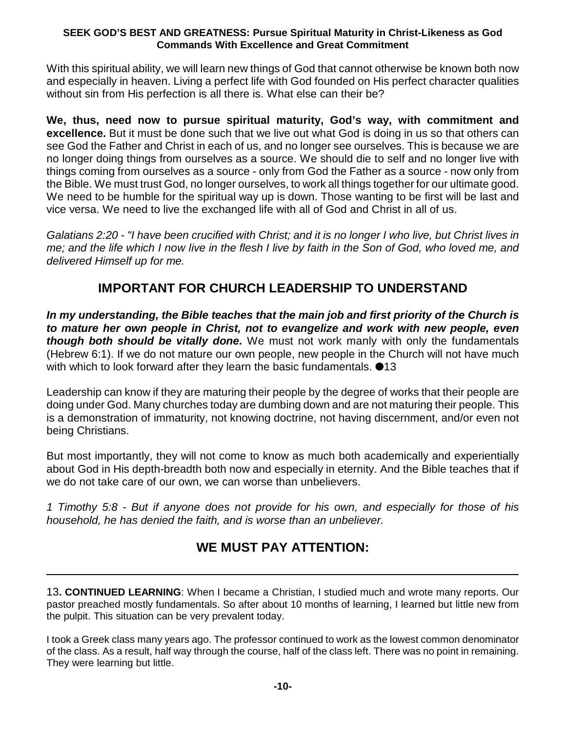With this spiritual ability, we will learn new things of God that cannot otherwise be known both now and especially in heaven. Living a perfect life with God founded on His perfect character qualities without sin from His perfection is all there is. What else can their be?

**We, thus, need now to pursue spiritual maturity, God's way, with commitment and excellence.** But it must be done such that we live out what God is doing in us so that others can see God the Father and Christ in each of us, and no longer see ourselves. This is because we are no longer doing things from ourselves as a source. We should die to self and no longer live with things coming from ourselves as a source - only from God the Father as a source - now only from the Bible. We must trust God, no longer ourselves, to work all things together for our ultimate good. We need to be humble for the spiritual way up is down. Those wanting to be first will be last and vice versa. We need to live the exchanged life with all of God and Christ in all of us.

*Galatians 2:20 - "I have been crucified with Christ; and it is no longer I who live, but Christ lives in me; and the life which I now live in the flesh I live by faith in the Son of God, who loved me, and delivered Himself up for me.*

## **IMPORTANT FOR CHURCH LEADERSHIP TO UNDERSTAND**

*In my understanding, the Bible teaches that the main job and first priority of the Church is to mature her own people in Christ, not to evangelize and work with new people, even though both should be vitally done.* We must not work manly with only the fundamentals (Hebrew 6:1). If we do not mature our own people, new people in the Church will not have much with which to look forward after they learn the basic fundamentals.  $\bullet$ 13

Leadership can know if they are maturing their people by the degree of works that their people are doing under God. Many churches today are dumbing down and are not maturing their people. This is a demonstration of immaturity, not knowing doctrine, not having discernment, and/or even not being Christians.

But most importantly, they will not come to know as much both academically and experientially about God in His depth-breadth both now and especially in eternity. And the Bible teaches that if we do not take care of our own, we can worse than unbelievers.

*1 Timothy 5:8 - But if anyone does not provide for his own, and especially for those of his household, he has denied the faith, and is worse than an unbeliever.*

# **WE MUST PAY ATTENTION:**

13**. CONTINUED LEARNING**: When I became a Christian, I studied much and wrote many reports. Our pastor preached mostly fundamentals. So after about 10 months of learning, I learned but little new from the pulpit. This situation can be very prevalent today.

I took a Greek class many years ago. The professor continued to work as the lowest common denominator of the class. As a result, half way through the course, half of the class left. There was no point in remaining. They were learning but little.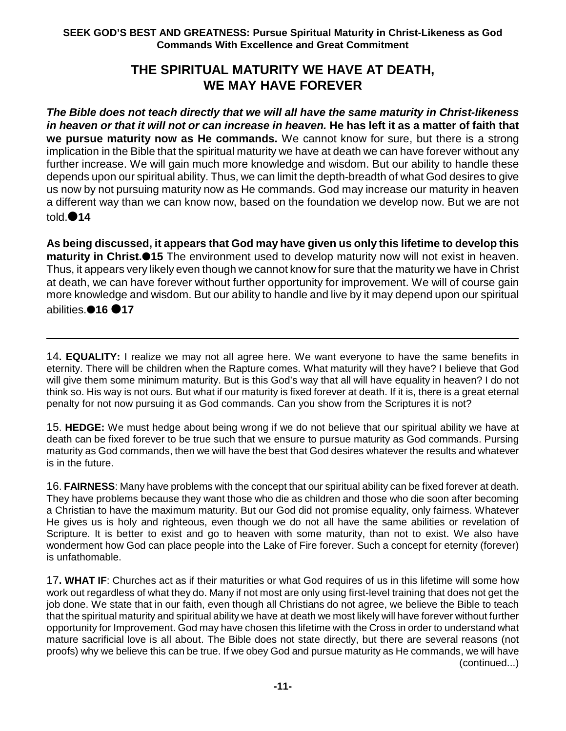## **THE SPIRITUAL MATURITY WE HAVE AT DEATH, WE MAY HAVE FOREVER**

*The Bible does not teach directly that we will all have the same maturity in Christ-likeness in heaven or that it will not or can increase in heaven.* **He has left it as a matter of faith that we pursue maturity now as He commands.** We cannot know for sure, but there is a strong implication in the Bible that the spiritual maturity we have at death we can have forever without any further increase. We will gain much more knowledge and wisdom. But our ability to handle these depends upon our spiritual ability. Thus, we can limit the depth-breadth of what God desires to give us now by not pursuing maturity now as He commands. God may increase our maturity in heaven a different way than we can know now, based on the foundation we develop now. But we are not told.<sup>14</sup>

**As being discussed, it appears that God may have given us only this lifetime to develop this maturity in Christ.15** The environment used to develop maturity now will not exist in heaven. Thus, it appears very likely even though we cannot know for sure that the maturity we have in Christ at death, we can have forever without further opportunity for improvement. We will of course gain more knowledge and wisdom. But our ability to handle and live by it may depend upon our spiritual **abilities.●16 ●17** 

14**. EQUALITY:** I realize we may not all agree here. We want everyone to have the same benefits in eternity. There will be children when the Rapture comes. What maturity will they have? I believe that God will give them some minimum maturity. But is this God's way that all will have equality in heaven? I do not think so. His way is not ours. But what if our maturity is fixed forever at death. If it is, there is a great eternal penalty for not now pursuing it as God commands. Can you show from the Scriptures it is not?

15. **HEDGE:** We must hedge about being wrong if we do not believe that our spiritual ability we have at death can be fixed forever to be true such that we ensure to pursue maturity as God commands. Pursing maturity as God commands, then we will have the best that God desires whatever the results and whatever is in the future.

16. **FAIRNESS**: Many have problems with the concept that our spiritual ability can be fixed forever at death. They have problems because they want those who die as children and those who die soon after becoming a Christian to have the maximum maturity. But our God did not promise equality, only fairness. Whatever He gives us is holy and righteous, even though we do not all have the same abilities or revelation of Scripture. It is better to exist and go to heaven with some maturity, than not to exist. We also have wonderment how God can place people into the Lake of Fire forever. Such a concept for eternity (forever) is unfathomable.

17**. WHAT IF**: Churches act as if their maturities or what God requires of us in this lifetime will some how work out regardless of what they do. Many if not most are only using first-level training that does not get the job done. We state that in our faith, even though all Christians do not agree, we believe the Bible to teach that the spiritual maturity and spiritual ability we have at death we most likely will have forever without further opportunity for Improvement. God may have chosen this lifetime with the Cross in order to understand what mature sacrificial love is all about. The Bible does not state directly, but there are several reasons (not proofs) why we believe this can be true. If we obey God and pursue maturity as He commands, we will have (continued...)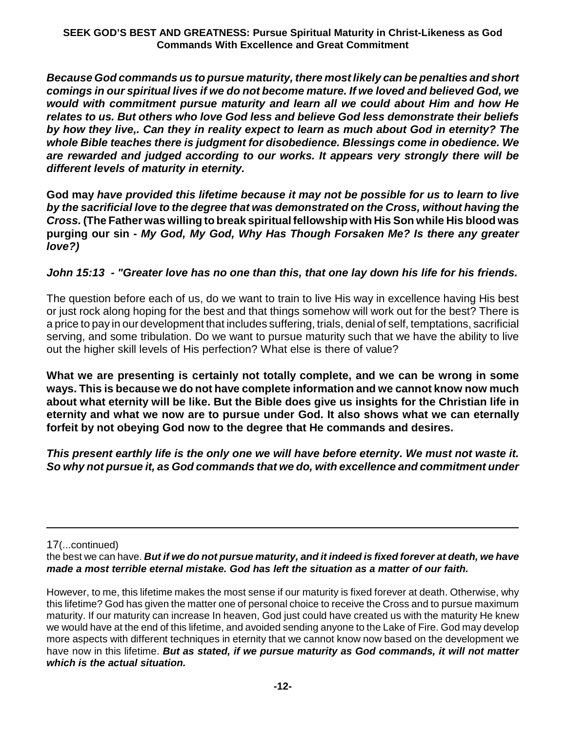*Because God commands us to pursue maturity, there most likely can be penalties and short comings in our spiritual lives if we do not become mature. If we loved and believed God, we would with commitment pursue maturity and learn all we could about Him and how He relates to us. But others who love God less and believe God less demonstrate their beliefs by how they live,. Can they in reality expect to learn as much about God in eternity? The whole Bible teaches there is judgment for disobedience. Blessings come in obedience. We are rewarded and judged according to our works. It appears very strongly there will be different levels of maturity in eternity.*

**God may** *have provided this lifetime because it may not be possible for us to learn to live by the sacrificial love to the degree that was demonstrated on the Cross, without having the Cross.* **(The Father was willing to break spiritualfellowship with His Son while His blood was purging our sin -** *My God, My God, Why Has Though Forsaken Me? Is there any greater love?)*

## *John 15:13 - "Greater love has no one than this, that one lay down his life for his friends.*

The question before each of us, do we want to train to live His way in excellence having His best or just rock along hoping for the best and that things somehow will work out for the best? There is a price to pay in our development that includes suffering, trials, denial of self, temptations, sacrificial serving, and some tribulation. Do we want to pursue maturity such that we have the ability to live out the higher skill levels of His perfection? What else is there of value?

**What we are presenting is certainly not totally complete, and we can be wrong in some ways. This is because we do not have complete information and we cannot know now much about what eternity will be like. But the Bible does give us insights for the Christian life in eternity and what we now are to pursue under God. It also shows what we can eternally forfeit by not obeying God now to the degree that He commands and desires.**

*This present earthly life is the only one we will have before eternity. We must not waste it. So why not pursue it, as God commands that we do, with excellence and commitment under*

17(...continued)

the best we can have. *But if we do not pursue maturity, and it indeed is fixed forever at death, we have made a most terrible eternal mistake. God has left the situation as a matter of our faith.* 

However, to me, this lifetime makes the most sense if our maturity is fixed forever at death. Otherwise, why this lifetime? God has given the matter one of personal choice to receive the Cross and to pursue maximum maturity. If our maturity can increase In heaven, God just could have created us with the maturity He knew we would have at the end of this lifetime, and avoided sending anyone to the Lake of Fire. God may develop more aspects with different techniques in eternity that we cannot know now based on the development we have now in this lifetime. *But as stated, if we pursue maturity as God commands, it will not matter which is the actual situation.*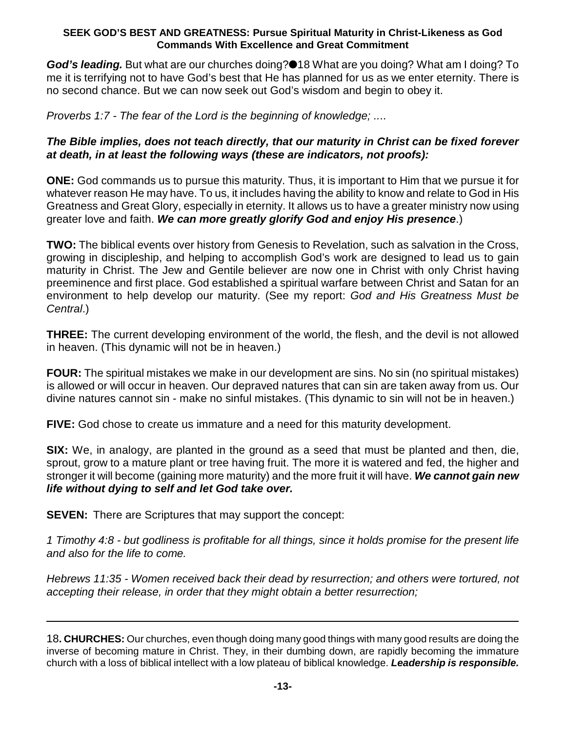**God's leading.** But what are our churches doing?●18 What are you doing? What am I doing? To me it is terrifying not to have God's best that He has planned for us as we enter eternity. There is no second chance. But we can now seek out God's wisdom and begin to obey it.

*Proverbs 1:7 - The fear of the Lord is the beginning of knowledge; ..*..

## *The Bible implies, does not teach directly, that our maturity in Christ can be fixed forever at death, in at least the following ways (these are indicators, not proofs):*

**ONE:** God commands us to pursue this maturity. Thus, it is important to Him that we pursue it for whatever reason He may have. To us, it includes having the ability to know and relate to God in His Greatness and Great Glory, especially in eternity. It allows us to have a greater ministry now using greater love and faith. *We can more greatly glorify God and enjoy His presence*.)

**TWO:** The biblical events over history from Genesis to Revelation, such as salvation in the Cross, growing in discipleship, and helping to accomplish God's work are designed to lead us to gain maturity in Christ. The Jew and Gentile believer are now one in Christ with only Christ having preeminence and first place. God established a spiritual warfare between Christ and Satan for an environment to help develop our maturity. (See my report: *God and His Greatness Must be Central*.)

**THREE:** The current developing environment of the world, the flesh, and the devil is not allowed in heaven. (This dynamic will not be in heaven.)

**FOUR:** The spiritual mistakes we make in our development are sins. No sin (no spiritual mistakes) is allowed or will occur in heaven. Our depraved natures that can sin are taken away from us. Our divine natures cannot sin - make no sinful mistakes. (This dynamic to sin will not be in heaven.)

**FIVE:** God chose to create us immature and a need for this maturity development.

**SIX:** We, in analogy, are planted in the ground as a seed that must be planted and then, die, sprout, grow to a mature plant or tree having fruit. The more it is watered and fed, the higher and stronger it will become (gaining more maturity) and the more fruit it will have. *We cannot gain new life without dying to self and let God take over.*

**SEVEN:** There are Scriptures that may support the concept:

*1 Timothy 4:8 - but godliness is profitable for all things, since it holds promise for the present life and also for the life to come.* 

*Hebrews 11:35 - Women received back their dead by resurrection; and others were tortured, not accepting their release, in order that they might obtain a better resurrection;*

18**. CHURCHES:** Our churches, even though doing many good things with many good results are doing the inverse of becoming mature in Christ. They, in their dumbing down, are rapidly becoming the immature church with a loss of biblical intellect with a low plateau of biblical knowledge. *Leadership is responsible.*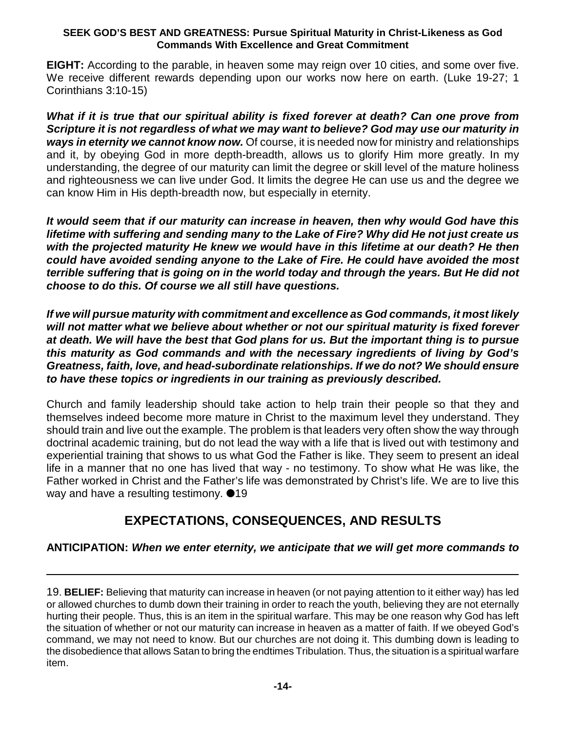**EIGHT:** According to the parable, in heaven some may reign over 10 cities, and some over five. We receive different rewards depending upon our works now here on earth. (Luke 19-27; 1 Corinthians 3:10-15)

*What if it is true that our spiritual ability is fixed forever at death? Can one prove from Scripture it is not regardless of what we may want to believe? God may use our maturity in ways in eternity we cannot know now.* Of course, it is needed now for ministry and relationships and it, by obeying God in more depth-breadth, allows us to glorify Him more greatly. In my understanding, the degree of our maturity can limit the degree or skill level of the mature holiness and righteousness we can live under God. It limits the degree He can use us and the degree we can know Him in His depth-breadth now, but especially in eternity.

*It would seem that if our maturity can increase in heaven, then why would God have this lifetime with suffering and sending many to the Lake of Fire? Why did He not just create us with the projected maturity He knew we would have in this lifetime at our death? He then could have avoided sending anyone to the Lake of Fire. He could have avoided the most terrible suffering that is going on in the world today and through the years. But He did not choose to do this. Of course we all still have questions.*

*If we will pursue maturity with commitment and excellence as God commands, it most likely will not matter what we believe about whether or not our spiritual maturity is fixed forever at death. We will have the best that God plans for us. But the important thing is to pursue this maturity as God commands and with the necessary ingredients of living by God's Greatness, faith, love, and head-subordinate relationships. If we do not? We should ensure to have these topics or ingredients in our training as previously described.*

Church and family leadership should take action to help train their people so that they and themselves indeed become more mature in Christ to the maximum level they understand. They should train and live out the example. The problem is that leaders very often show the way through doctrinal academic training, but do not lead the way with a life that is lived out with testimony and experiential training that shows to us what God the Father is like. They seem to present an ideal life in a manner that no one has lived that way - no testimony. To show what He was like, the Father worked in Christ and the Father's life was demonstrated by Christ's life. We are to live this way and have a resulting testimony.  $\bullet$ 19

# **EXPECTATIONS, CONSEQUENCES, AND RESULTS**

## **ANTICIPATION:** *When we enter eternity, we anticipate that we will get more commands to*

19. **BELIEF:** Believing that maturity can increase in heaven (or not paying attention to it either way) has led or allowed churches to dumb down their training in order to reach the youth, believing they are not eternally hurting their people. Thus, this is an item in the spiritual warfare. This may be one reason why God has left the situation of whether or not our maturity can increase in heaven as a matter of faith. If we obeyed God's command, we may not need to know. But our churches are not doing it. This dumbing down is leading to the disobedience that allows Satan to bring the endtimes Tribulation. Thus, the situation is a spiritual warfare item.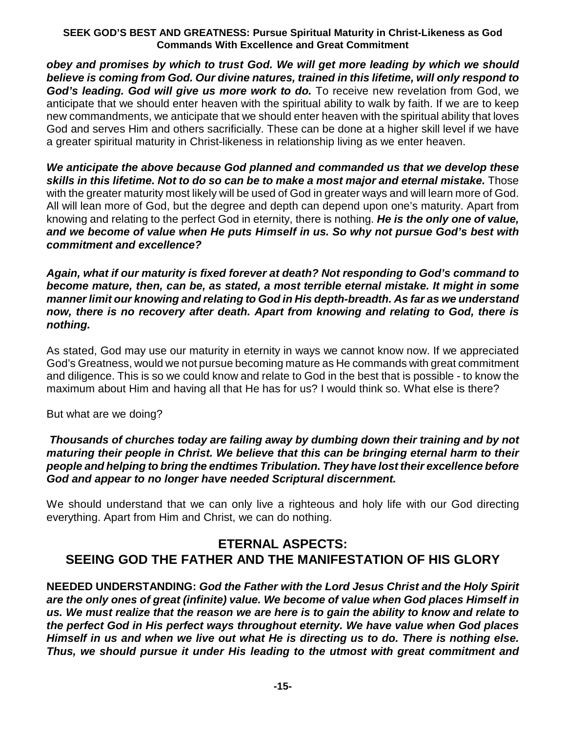*obey and promises by which to trust God. We will get more leading by which we should believe is coming from God. Our divine natures, trained in this lifetime, will only respond to* God's leading. God will give us more work to do. To receive new revelation from God, we anticipate that we should enter heaven with the spiritual ability to walk by faith. If we are to keep new commandments, we anticipate that we should enter heaven with the spiritual ability that loves God and serves Him and others sacrificially. These can be done at a higher skill level if we have a greater spiritual maturity in Christ-likeness in relationship living as we enter heaven.

*We anticipate the above because God planned and commanded us that we develop these skills in this lifetime. Not to do so can be to make a most major and eternal mistake.* Those with the greater maturity most likely will be used of God in greater ways and will learn more of God. All will lean more of God, but the degree and depth can depend upon one's maturity. Apart from knowing and relating to the perfect God in eternity, there is nothing. *He is the only one of value, and we become of value when He puts Himself in us. So why not pursue God's best with commitment and excellence?*

*Again, what if our maturity is fixed forever at death? Not responding to God's command to become mature, then, can be, as stated, a most terrible eternal mistake. It might in some manner limit our knowing and relating to God in His depth-breadth. As far as we understand now, there is no recovery after death. Apart from knowing and relating to God, there is nothing.*

As stated, God may use our maturity in eternity in ways we cannot know now. If we appreciated God's Greatness, would we not pursue becoming mature as He commands with great commitment and diligence. This is so we could know and relate to God in the best that is possible - to know the maximum about Him and having all that He has for us? I would think so. What else is there?

But what are we doing?

## *Thousands of churches today are failing away by dumbing down their training and by not maturing their people in Christ. We believe that this can be bringing eternal harm to their people and helping to bring the endtimes Tribulation. They have lost their excellence before God and appear to no longer have needed Scriptural discernment.*

We should understand that we can only live a righteous and holy life with our God directing everything. Apart from Him and Christ, we can do nothing.

# **ETERNAL ASPECTS: SEEING GOD THE FATHER AND THE MANIFESTATION OF HIS GLORY**

**NEEDED UNDERSTANDING:** *God the Father with the Lord Jesus Christ and the Holy Spirit are the only ones of great (infinite) value. We become of value when God places Himself in us. We must realize that the reason we are here is to gain the ability to know and relate to the perfect God in His perfect ways throughout eternity. We have value when God places Himself in us and when we live out what He is directing us to do. There is nothing else. Thus, we should pursue it under His leading to the utmost with great commitment and*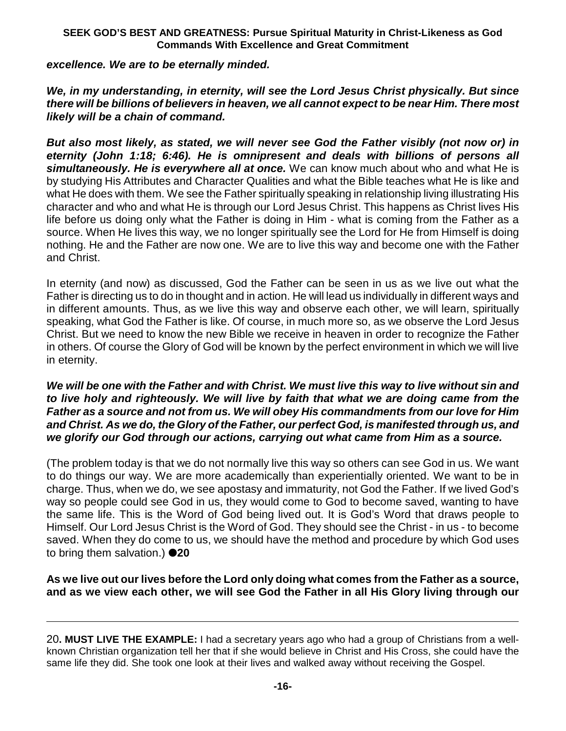## *excellence. We are to be eternally minded.*

*We, in my understanding, in eternity, will see the Lord Jesus Christ physically. But since there will be billions of believers in heaven, we all cannot expect to be near Him. There most likely will be a chain of command.*

*But also most likely, as stated, we will never see God the Father visibly (not now or) in eternity (John 1:18; 6:46). He is omnipresent and deals with billions of persons all simultaneously. He is everywhere all at once.* We can know much about who and what He is by studying His Attributes and Character Qualities and what the Bible teaches what He is like and what He does with them. We see the Father spiritually speaking in relationship living illustrating His character and who and what He is through our Lord Jesus Christ. This happens as Christ lives His life before us doing only what the Father is doing in Him - what is coming from the Father as a source. When He lives this way, we no longer spiritually see the Lord for He from Himself is doing nothing. He and the Father are now one. We are to live this way and become one with the Father and Christ.

In eternity (and now) as discussed, God the Father can be seen in us as we live out what the Father is directing us to do in thought and in action. He will lead us individually in different ways and in different amounts. Thus, as we live this way and observe each other, we will learn, spiritually speaking, what God the Father is like. Of course, in much more so, as we observe the Lord Jesus Christ. But we need to know the new Bible we receive in heaven in order to recognize the Father in others. Of course the Glory of God will be known by the perfect environment in which we will live in eternity.

## *We will be one with the Father and with Christ. We must live this way to live without sin and to live holy and righteously. We will live by faith that what we are doing came from the Father as a source and not from us. We will obey His commandments from our love for Him and Christ. As we do, the Glory of the Father, our perfect God, is manifested through us, and we glorify our God through our actions, carrying out what came from Him as a source.*

(The problem today is that we do not normally live this way so others can see God in us. We want to do things our way. We are more academically than experientially oriented. We want to be in charge. Thus, when we do, we see apostasy and immaturity, not God the Father. If we lived God's way so people could see God in us, they would come to God to become saved, wanting to have the same life. This is the Word of God being lived out. It is God's Word that draws people to Himself. Our Lord Jesus Christ is the Word of God. They should see the Christ - in us - to become saved. When they do come to us, we should have the method and procedure by which God uses to bring them salvation.) **20**

**As we live out our lives before the Lord only doing what comes from the Father as a source, and as we view each other, we will see God the Father in all His Glory living through our**

<sup>20</sup>**. MUST LIVE THE EXAMPLE:** I had a secretary years ago who had a group of Christians from a wellknown Christian organization tell her that if she would believe in Christ and His Cross, she could have the same life they did. She took one look at their lives and walked away without receiving the Gospel.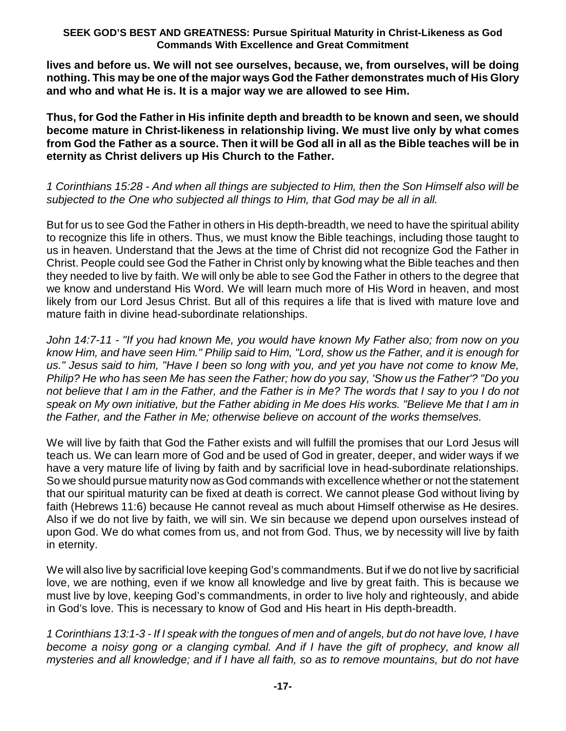**lives and before us. We will not see ourselves, because, we, from ourselves, will be doing nothing. This may be one of the major ways God the Father demonstrates much of His Glory and who and what He is. It is a major way we are allowed to see Him.**

**Thus, for God the Father in His infinite depth and breadth to be known and seen, we should become mature in Christ-likeness in relationship living. We must live only by what comes from God the Father as a source. Then it will be God all in all as the Bible teaches will be in eternity as Christ delivers up His Church to the Father.**

*1 Corinthians 15:28 - And when all things are subjected to Him, then the Son Himself also will be subjected to the One who subjected all things to Him, that God may be all in all.*

But for us to see God the Father in others in His depth-breadth, we need to have the spiritual ability to recognize this life in others. Thus, we must know the Bible teachings, including those taught to us in heaven. Understand that the Jews at the time of Christ did not recognize God the Father in Christ. People could see God the Father in Christ only by knowing what the Bible teaches and then they needed to live by faith. We will only be able to see God the Father in others to the degree that we know and understand His Word. We will learn much more of His Word in heaven, and most likely from our Lord Jesus Christ. But all of this requires a life that is lived with mature love and mature faith in divine head-subordinate relationships.

*John 14:7-11 - "If you had known Me, you would have known My Father also; from now on you know Him, and have seen Him." Philip said to Him, "Lord, show us the Father, and it is enough for us." Jesus said to him, "Have I been so long with you, and yet you have not come to know Me, Philip? He who has seen Me has seen the Father; how do you say, 'Show us the Father'? "Do you not believe that I am in the Father, and the Father is in Me? The words that I say to you I do not speak on My own initiative, but the Father abiding in Me does His works. "Believe Me that I am in the Father, and the Father in Me; otherwise believe on account of the works themselves.*

We will live by faith that God the Father exists and will fulfill the promises that our Lord Jesus will teach us. We can learn more of God and be used of God in greater, deeper, and wider ways if we have a very mature life of living by faith and by sacrificial love in head-subordinate relationships. So we should pursue maturity now as God commands with excellence whether or not the statement that our spiritual maturity can be fixed at death is correct. We cannot please God without living by faith (Hebrews 11:6) because He cannot reveal as much about Himself otherwise as He desires. Also if we do not live by faith, we will sin. We sin because we depend upon ourselves instead of upon God. We do what comes from us, and not from God. Thus, we by necessity will live by faith in eternity.

We will also live by sacrificial love keeping God's commandments. But if we do not live by sacrificial love, we are nothing, even if we know all knowledge and live by great faith. This is because we must live by love, keeping God's commandments, in order to live holy and righteously, and abide in God's love. This is necessary to know of God and His heart in His depth-breadth.

*1 Corinthians 13:1-3 - If I speak with the tongues of men and of angels, but do not have love, I have become a noisy gong or a clanging cymbal. And if I have the gift of prophecy, and know all mysteries and all knowledge; and if I have all faith, so as to remove mountains, but do not have*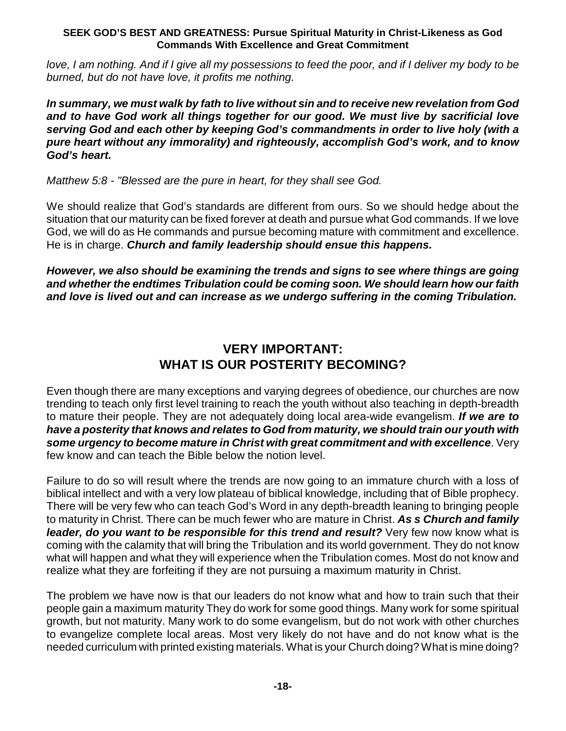*love, I am nothing. And if I give all my possessions to feed the poor, and if I deliver my body to be burned, but do not have love, it profits me nothing.*

*In summary, we must walk by fath to live without sin and to receive new revelation from God and to have God work all things together for our good. We must live by sacrificial love serving God and each other by keeping God's commandments in order to live holy (with a pure heart without any immorality) and righteously, accomplish God's work, and to know God's heart.*

### *Matthew 5:8 - "Blessed are the pure in heart, for they shall see God.*

We should realize that God's standards are different from ours. So we should hedge about the situation that our maturity can be fixed forever at death and pursue what God commands. If we love God, we will do as He commands and pursue becoming mature with commitment and excellence. He is in charge. *Church and family leadership should ensue this happens.*

*However, we also should be examining the trends and signs to see where things are going and whether the endtimes Tribulation could be coming soon. We should learn how our faith and love is lived out and can increase as we undergo suffering in the coming Tribulation.*

## **VERY IMPORTANT: WHAT IS OUR POSTERITY BECOMING?**

Even though there are many exceptions and varying degrees of obedience, our churches are now trending to teach only first level training to reach the youth without also teaching in depth-breadth to mature their people. They are not adequately doing local area-wide evangelism. *If we are to have a posterity that knows and relates to God from maturity, we should train our youth with some urgency to become mature in Christ with great commitment and with excellence*. Very few know and can teach the Bible below the notion level.

Failure to do so will result where the trends are now going to an immature church with a loss of biblical intellect and with a very low plateau of biblical knowledge, including that of Bible prophecy. There will be very few who can teach God's Word in any depth-breadth leaning to bringing people to maturity in Christ. There can be much fewer who are mature in Christ. *As s Church and family leader, do you want to be responsible for this trend and result?* Very few now know what is coming with the calamity that will bring the Tribulation and its world government. They do not know what will happen and what they will experience when the Tribulation comes. Most do not know and realize what they are forfeiting if they are not pursuing a maximum maturity in Christ.

The problem we have now is that our leaders do not know what and how to train such that their people gain a maximum maturity They do work for some good things. Many work for some spiritual growth, but not maturity. Many work to do some evangelism, but do not work with other churches to evangelize complete local areas. Most very likely do not have and do not know what is the needed curriculum with printed existing materials. What is your Church doing? What is mine doing?